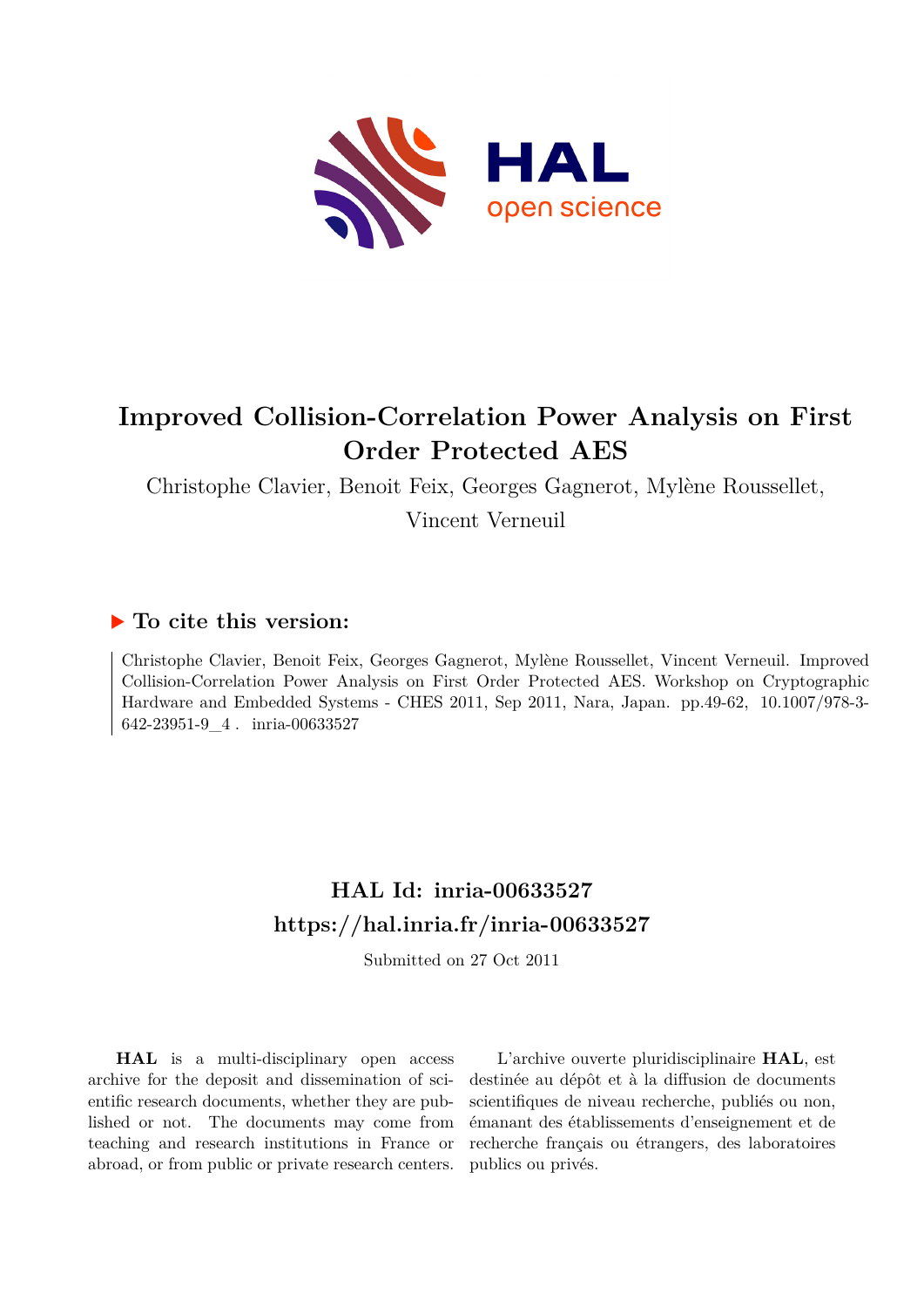

# **Improved Collision-Correlation Power Analysis on First Order Protected AES**

Christophe Clavier, Benoit Feix, Georges Gagnerot, Mylène Roussellet,

Vincent Verneuil

# **To cite this version:**

Christophe Clavier, Benoit Feix, Georges Gagnerot, Mylène Roussellet, Vincent Verneuil. Improved Collision-Correlation Power Analysis on First Order Protected AES. Workshop on Cryptographic Hardware and Embedded Systems - CHES 2011, Sep 2011, Nara, Japan. pp.49-62, 10.1007/978-3-642-23951-9 4. inria-00633527

# **HAL Id: inria-00633527 <https://hal.inria.fr/inria-00633527>**

Submitted on 27 Oct 2011

**HAL** is a multi-disciplinary open access archive for the deposit and dissemination of scientific research documents, whether they are published or not. The documents may come from teaching and research institutions in France or abroad, or from public or private research centers.

L'archive ouverte pluridisciplinaire **HAL**, est destinée au dépôt et à la diffusion de documents scientifiques de niveau recherche, publiés ou non, émanant des établissements d'enseignement et de recherche français ou étrangers, des laboratoires publics ou privés.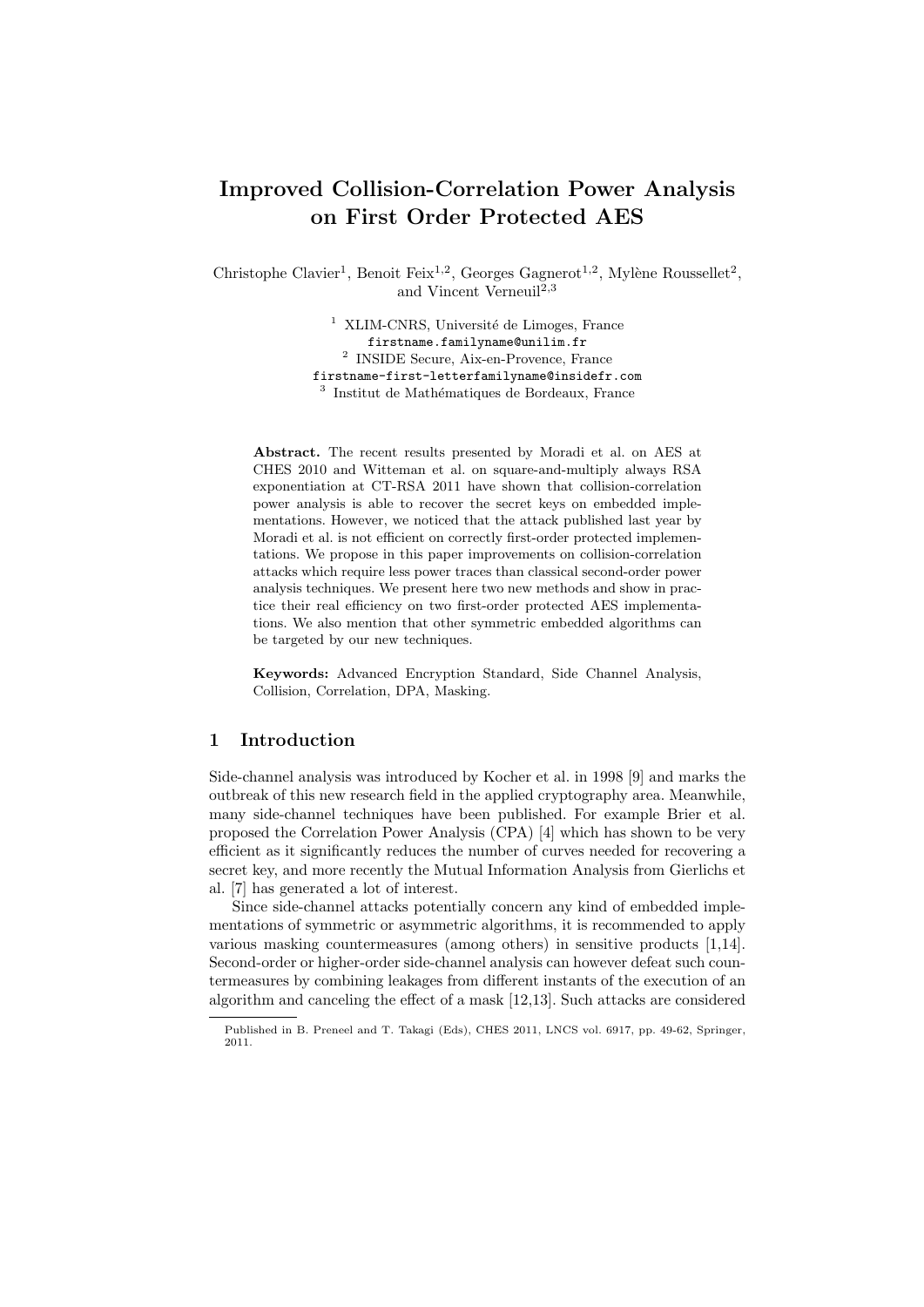# Improved Collision-Correlation Power Analysis on First Order Protected AES

Christophe Clavier<sup>1</sup>, Benoit Feix<sup>1,2</sup>, Georges Gagnerot<sup>1,2</sup>, Mylène Roussellet<sup>2</sup>, and Vincent Verneuil<sup>2,3</sup>

> $1$  XLIM-CNRS, Université de Limoges, France firstname.familyname@unilim.fr 2 INSIDE Secure, Aix-en-Provence, France firstname-first-letterfamilyname@insidefr.com <sup>3</sup> Institut de Mathématiques de Bordeaux, France

Abstract. The recent results presented by Moradi et al. on AES at CHES 2010 and Witteman et al. on square-and-multiply always RSA exponentiation at CT-RSA 2011 have shown that collision-correlation power analysis is able to recover the secret keys on embedded implementations. However, we noticed that the attack published last year by Moradi et al. is not efficient on correctly first-order protected implementations. We propose in this paper improvements on collision-correlation attacks which require less power traces than classical second-order power analysis techniques. We present here two new methods and show in practice their real efficiency on two first-order protected AES implementations. We also mention that other symmetric embedded algorithms can be targeted by our new techniques.

Keywords: Advanced Encryption Standard, Side Channel Analysis, Collision, Correlation, DPA, Masking.

## 1 Introduction

Side-channel analysis was introduced by Kocher et al. in 1998 [9] and marks the outbreak of this new research field in the applied cryptography area. Meanwhile, many side-channel techniques have been published. For example Brier et al. proposed the Correlation Power Analysis (CPA) [4] which has shown to be very efficient as it significantly reduces the number of curves needed for recovering a secret key, and more recently the Mutual Information Analysis from Gierlichs et al. [7] has generated a lot of interest.

Since side-channel attacks potentially concern any kind of embedded implementations of symmetric or asymmetric algorithms, it is recommended to apply various masking countermeasures (among others) in sensitive products [1,14]. Second-order or higher-order side-channel analysis can however defeat such countermeasures by combining leakages from different instants of the execution of an algorithm and canceling the effect of a mask [12,13]. Such attacks are considered

Published in B. Preneel and T. Takagi (Eds), CHES 2011, LNCS vol. 6917, pp. 49-62, Springer, 2011.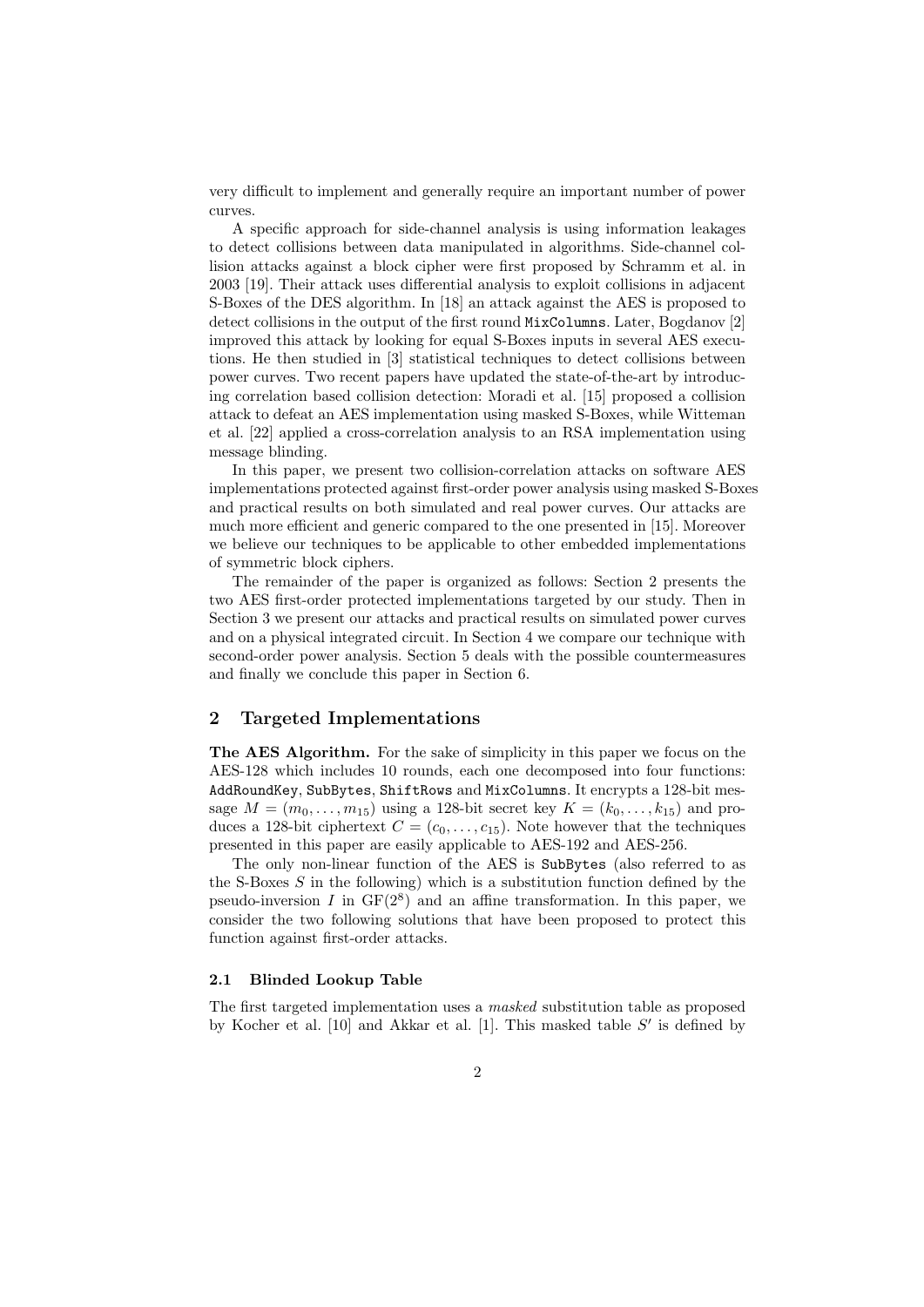very difficult to implement and generally require an important number of power curves.

A specific approach for side-channel analysis is using information leakages to detect collisions between data manipulated in algorithms. Side-channel collision attacks against a block cipher were first proposed by Schramm et al. in 2003 [19]. Their attack uses differential analysis to exploit collisions in adjacent S-Boxes of the DES algorithm. In [18] an attack against the AES is proposed to detect collisions in the output of the first round MixColumns. Later, Bogdanov [2] improved this attack by looking for equal S-Boxes inputs in several AES executions. He then studied in [3] statistical techniques to detect collisions between power curves. Two recent papers have updated the state-of-the-art by introducing correlation based collision detection: Moradi et al. [15] proposed a collision attack to defeat an AES implementation using masked S-Boxes, while Witteman et al. [22] applied a cross-correlation analysis to an RSA implementation using message blinding.

In this paper, we present two collision-correlation attacks on software AES implementations protected against first-order power analysis using masked S-Boxes and practical results on both simulated and real power curves. Our attacks are much more efficient and generic compared to the one presented in [15]. Moreover we believe our techniques to be applicable to other embedded implementations of symmetric block ciphers.

The remainder of the paper is organized as follows: Section 2 presents the two AES first-order protected implementations targeted by our study. Then in Section 3 we present our attacks and practical results on simulated power curves and on a physical integrated circuit. In Section 4 we compare our technique with second-order power analysis. Section 5 deals with the possible countermeasures and finally we conclude this paper in Section 6.

### 2 Targeted Implementations

The AES Algorithm. For the sake of simplicity in this paper we focus on the AES-128 which includes 10 rounds, each one decomposed into four functions: AddRoundKey, SubBytes, ShiftRows and MixColumns. It encrypts a 128-bit message  $M = (m_0, \ldots, m_{15})$  using a 128-bit secret key  $K = (k_0, \ldots, k_{15})$  and produces a 128-bit ciphertext  $C = (c_0, \ldots, c_{15})$ . Note however that the techniques presented in this paper are easily applicable to AES-192 and AES-256.

The only non-linear function of the AES is SubBytes (also referred to as the S-Boxes  $S$  in the following) which is a substitution function defined by the pseudo-inversion I in  $GF(2^8)$  and an affine transformation. In this paper, we consider the two following solutions that have been proposed to protect this function against first-order attacks.

#### 2.1 Blinded Lookup Table

The first targeted implementation uses a masked substitution table as proposed by Kocher et al.  $[10]$  and Akkar et al.  $[1]$ . This masked table  $S'$  is defined by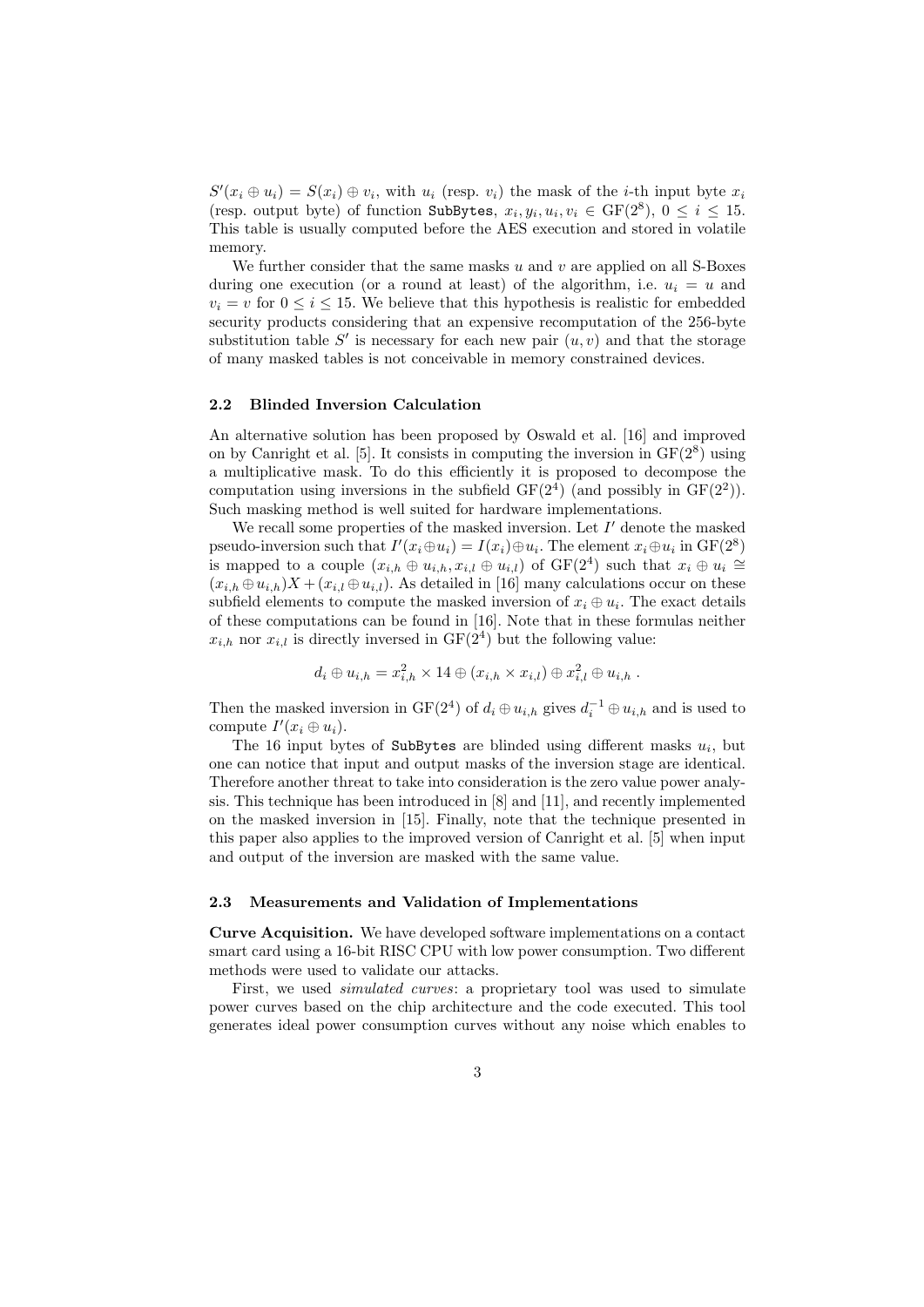$S'(x_i \oplus u_i) = S(x_i) \oplus v_i$ , with  $u_i$  (resp.  $v_i$ ) the mask of the *i*-th input byte  $x_i$ (resp. output byte) of function SubBytes,  $x_i, y_i, u_i, v_i \in \text{GF}(2^8), 0 \le i \le 15$ . This table is usually computed before the AES execution and stored in volatile memory.

We further consider that the same masks  $u$  and  $v$  are applied on all S-Boxes during one execution (or a round at least) of the algorithm, i.e.  $u_i = u$  and  $v_i = v$  for  $0 \le i \le 15$ . We believe that this hypothesis is realistic for embedded security products considering that an expensive recomputation of the 256-byte substitution table  $S'$  is necessary for each new pair  $(u, v)$  and that the storage of many masked tables is not conceivable in memory constrained devices.

#### 2.2 Blinded Inversion Calculation

An alternative solution has been proposed by Oswald et al. [16] and improved on by Canright et al. [5]. It consists in computing the inversion in  $GF(2^8)$  using a multiplicative mask. To do this efficiently it is proposed to decompose the computation using inversions in the subfield  $GF(2^4)$  (and possibly in  $GF(2^2)$ ). Such masking method is well suited for hardware implementations.

We recall some properties of the masked inversion. Let  $I'$  denote the masked pseudo-inversion such that  $I'(x_i \oplus u_i) = I(x_i) \oplus u_i$ . The element  $x_i \oplus u_i$  in  $GF(2^8)$ is mapped to a couple  $(x_{i,h} \oplus u_{i,h}, x_{i,l} \oplus u_{i,l})$  of  $GF(2^4)$  such that  $x_i \oplus u_i \cong$  $(x_{i,h} \oplus u_{i,h})X + (x_{i,l} \oplus u_{i,l})$ . As detailed in [16] many calculations occur on these subfield elements to compute the masked inversion of  $x_i \oplus u_i$ . The exact details of these computations can be found in [16]. Note that in these formulas neither  $x_{i,h}$  nor  $x_{i,l}$  is directly inversed in  $GF(2<sup>4</sup>)$  but the following value:

$$
d_i \oplus u_{i,h} = x_{i,h}^2 \times 14 \oplus (x_{i,h} \times x_{i,l}) \oplus x_{i,l}^2 \oplus u_{i,h} .
$$

Then the masked inversion in  $GF(2^4)$  of  $d_i \oplus u_{i,h}$  gives  $d_i^{-1} \oplus u_{i,h}$  and is used to compute  $I'(x_i \oplus u_i)$ .

The 16 input bytes of SubBytes are blinded using different masks  $u_i$ , but one can notice that input and output masks of the inversion stage are identical. Therefore another threat to take into consideration is the zero value power analysis. This technique has been introduced in [8] and [11], and recently implemented on the masked inversion in [15]. Finally, note that the technique presented in this paper also applies to the improved version of Canright et al. [5] when input and output of the inversion are masked with the same value.

#### 2.3 Measurements and Validation of Implementations

Curve Acquisition. We have developed software implementations on a contact smart card using a 16-bit RISC CPU with low power consumption. Two different methods were used to validate our attacks.

First, we used *simulated curves*: a proprietary tool was used to simulate power curves based on the chip architecture and the code executed. This tool generates ideal power consumption curves without any noise which enables to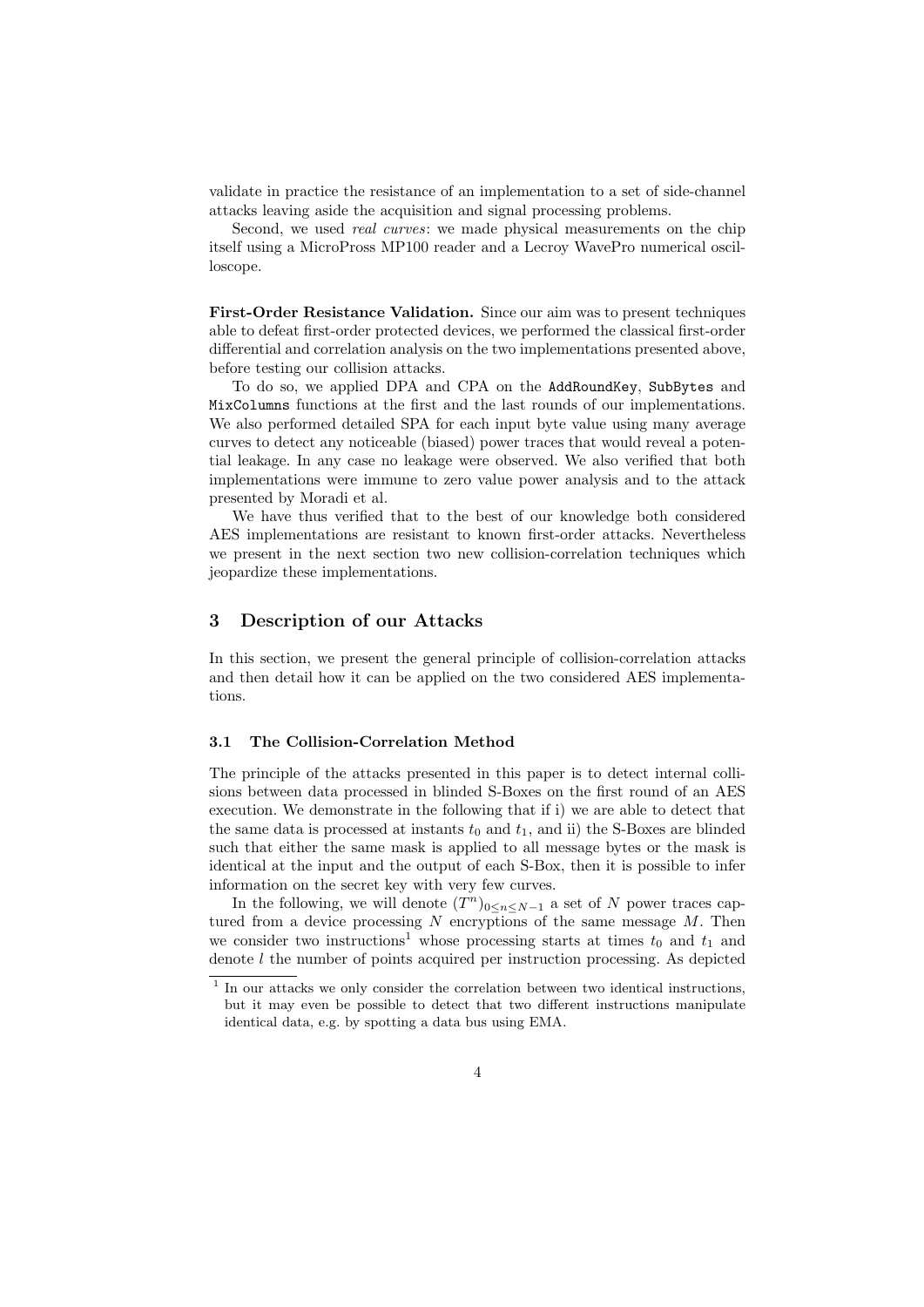validate in practice the resistance of an implementation to a set of side-channel attacks leaving aside the acquisition and signal processing problems.

Second, we used *real curves*: we made physical measurements on the chip itself using a MicroPross MP100 reader and a Lecroy WavePro numerical oscilloscope.

First-Order Resistance Validation. Since our aim was to present techniques able to defeat first-order protected devices, we performed the classical first-order differential and correlation analysis on the two implementations presented above, before testing our collision attacks.

To do so, we applied DPA and CPA on the AddRoundKey, SubBytes and MixColumns functions at the first and the last rounds of our implementations. We also performed detailed SPA for each input byte value using many average curves to detect any noticeable (biased) power traces that would reveal a potential leakage. In any case no leakage were observed. We also verified that both implementations were immune to zero value power analysis and to the attack presented by Moradi et al.

We have thus verified that to the best of our knowledge both considered AES implementations are resistant to known first-order attacks. Nevertheless we present in the next section two new collision-correlation techniques which jeopardize these implementations.

### 3 Description of our Attacks

In this section, we present the general principle of collision-correlation attacks and then detail how it can be applied on the two considered AES implementations.

#### 3.1 The Collision-Correlation Method

The principle of the attacks presented in this paper is to detect internal collisions between data processed in blinded S-Boxes on the first round of an AES execution. We demonstrate in the following that if i) we are able to detect that the same data is processed at instants  $t_0$  and  $t_1$ , and ii) the S-Boxes are blinded such that either the same mask is applied to all message bytes or the mask is identical at the input and the output of each S-Box, then it is possible to infer information on the secret key with very few curves.

In the following, we will denote  $(T^n)_{0 \leq n \leq N-1}$  a set of N power traces captured from a device processing  $N$  encryptions of the same message  $M$ . Then we consider two instructions<sup>1</sup> whose processing starts at times  $t_0$  and  $t_1$  and denote l the number of points acquired per instruction processing. As depicted

<sup>1</sup> In our attacks we only consider the correlation between two identical instructions, but it may even be possible to detect that two different instructions manipulate identical data, e.g. by spotting a data bus using EMA.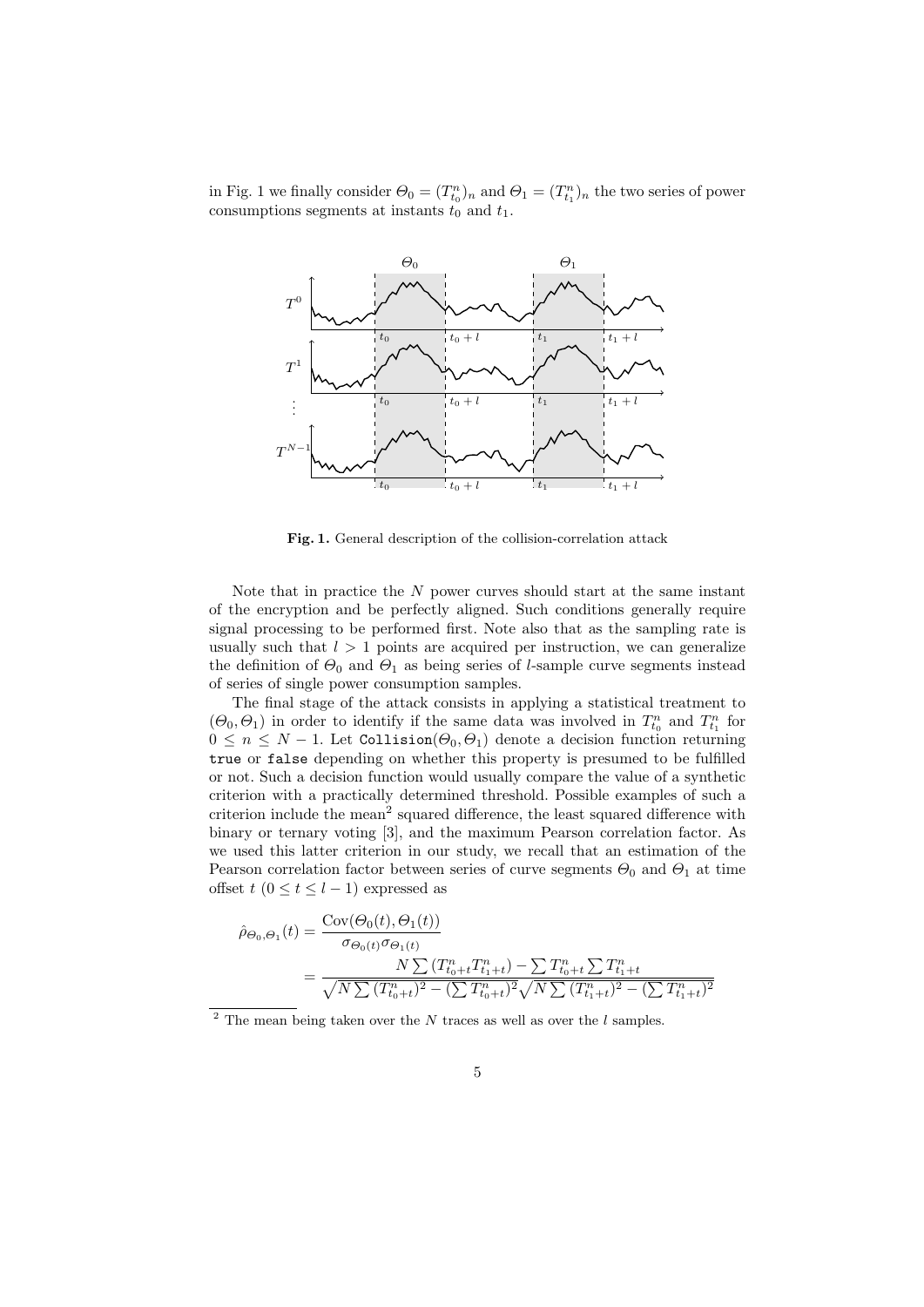in Fig. 1 we finally consider  $\Theta_0 = (T_{t_0}^n)_n$  and  $\Theta_1 = (T_{t_1}^n)_n$  the two series of power consumptions segments at instants  $t_0$  and  $t_1$ .



Fig. 1. General description of the collision-correlation attack

Note that in practice the N power curves should start at the same instant of the encryption and be perfectly aligned. Such conditions generally require signal processing to be performed first. Note also that as the sampling rate is usually such that  $l > 1$  points are acquired per instruction, we can generalize the definition of  $\Theta_0$  and  $\Theta_1$  as being series of *l*-sample curve segments instead of series of single power consumption samples.

The final stage of the attack consists in applying a statistical treatment to  $(\Theta_0, \Theta_1)$  in order to identify if the same data was involved in  $T_{t_0}^n$  and  $T_{t_1}^n$  for  $0 \leq n \leq N-1$ . Let Collision $(\Theta_0, \Theta_1)$  denote a decision function returning true or false depending on whether this property is presumed to be fulfilled or not. Such a decision function would usually compare the value of a synthetic criterion with a practically determined threshold. Possible examples of such a criterion include the mean<sup>2</sup> squared difference, the least squared difference with binary or ternary voting [3], and the maximum Pearson correlation factor. As we used this latter criterion in our study, we recall that an estimation of the Pearson correlation factor between series of curve segments  $\Theta_0$  and  $\Theta_1$  at time offset  $t$   $(0 \le t \le l-1)$  expressed as

$$
\hat{\rho}_{\Theta_0,\Theta_1}(t) = \frac{\text{Cov}(\Theta_0(t), \Theta_1(t))}{\sigma_{\Theta_0(t)}\sigma_{\Theta_1(t)}} \n= \frac{N \sum (T^n_{t_0+t} T^n_{t_1+t}) - \sum T^n_{t_0+t} \sum T^n_{t_1+t}}{\sqrt{N \sum (T^n_{t_0+t})^2 - (\sum T^n_{t_0+t})^2} \sqrt{N \sum (T^n_{t_1+t})^2 - (\sum T^n_{t_1+t})^2}}
$$

The mean being taken over the  $N$  traces as well as over the  $l$  samples.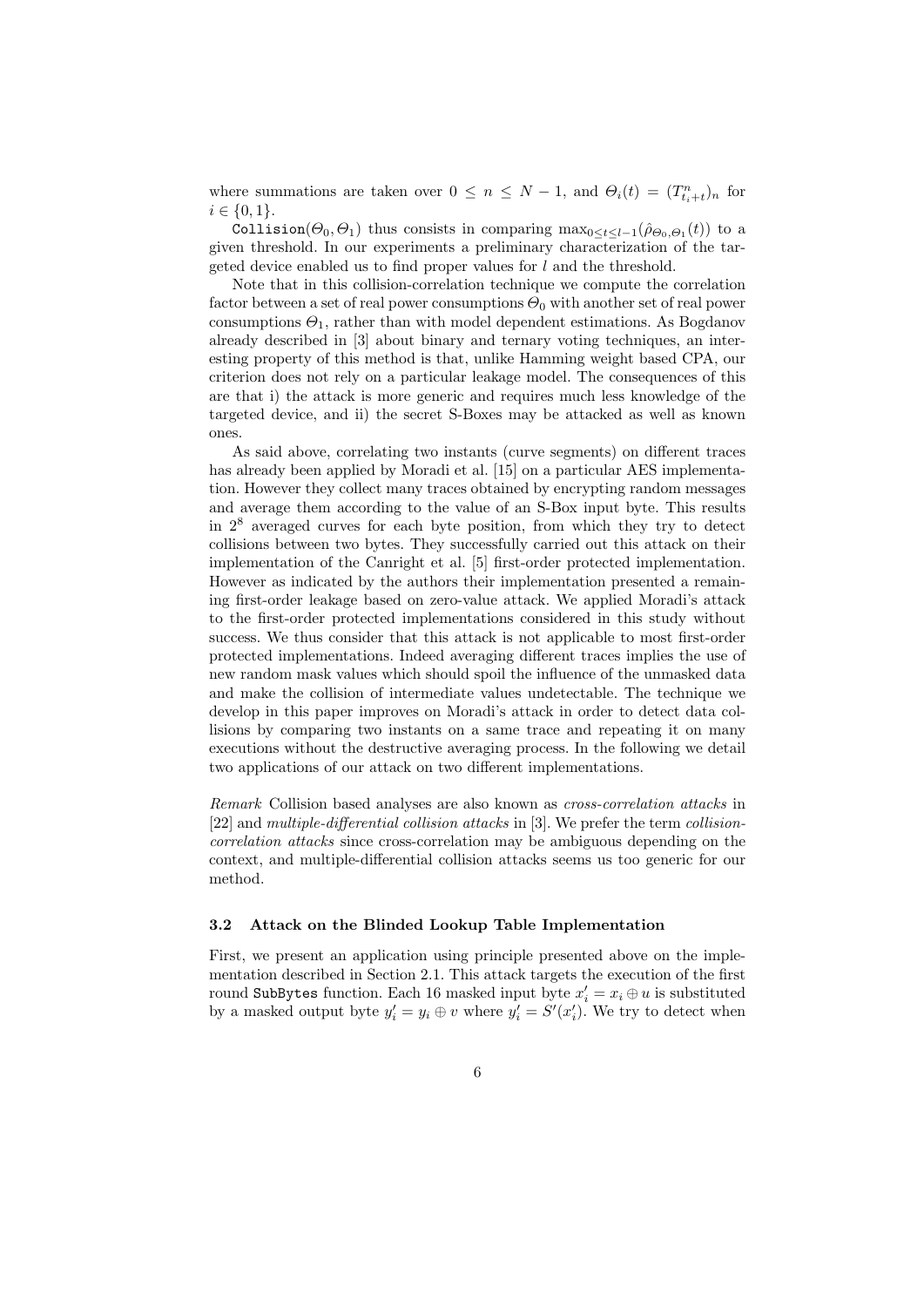where summations are taken over  $0 \le n \le N - 1$ , and  $\Theta_i(t) = (T_{t_i+t}^n)_n$  for  $i \in \{0, 1\}.$ 

Collision $(\Theta_0, \Theta_1)$  thus consists in comparing  $\max_{0 \leq t \leq l-1} (\hat{\rho}_{\Theta_0, \Theta_1}(t))$  to a given threshold. In our experiments a preliminary characterization of the targeted device enabled us to find proper values for l and the threshold.

Note that in this collision-correlation technique we compute the correlation factor between a set of real power consumptions  $\Theta_0$  with another set of real power consumptions  $\Theta_1$ , rather than with model dependent estimations. As Bogdanov already described in [3] about binary and ternary voting techniques, an interesting property of this method is that, unlike Hamming weight based CPA, our criterion does not rely on a particular leakage model. The consequences of this are that i) the attack is more generic and requires much less knowledge of the targeted device, and ii) the secret S-Boxes may be attacked as well as known ones.

As said above, correlating two instants (curve segments) on different traces has already been applied by Moradi et al. [15] on a particular AES implementation. However they collect many traces obtained by encrypting random messages and average them according to the value of an S-Box input byte. This results in  $2<sup>8</sup>$  averaged curves for each byte position, from which they try to detect collisions between two bytes. They successfully carried out this attack on their implementation of the Canright et al. [5] first-order protected implementation. However as indicated by the authors their implementation presented a remaining first-order leakage based on zero-value attack. We applied Moradi's attack to the first-order protected implementations considered in this study without success. We thus consider that this attack is not applicable to most first-order protected implementations. Indeed averaging different traces implies the use of new random mask values which should spoil the influence of the unmasked data and make the collision of intermediate values undetectable. The technique we develop in this paper improves on Moradi's attack in order to detect data collisions by comparing two instants on a same trace and repeating it on many executions without the destructive averaging process. In the following we detail two applications of our attack on two different implementations.

Remark Collision based analyses are also known as cross-correlation attacks in [22] and *multiple-differential collision attacks* in [3]. We prefer the term *collision*correlation attacks since cross-correlation may be ambiguous depending on the context, and multiple-differential collision attacks seems us too generic for our method.

#### 3.2 Attack on the Blinded Lookup Table Implementation

First, we present an application using principle presented above on the implementation described in Section 2.1. This attack targets the execution of the first round SubBytes function. Each 16 masked input byte  $x'_i = x_i \oplus u$  is substituted by a masked output byte  $y_i' = y_i \oplus v$  where  $y_i' = S'(x_i')$ . We try to detect when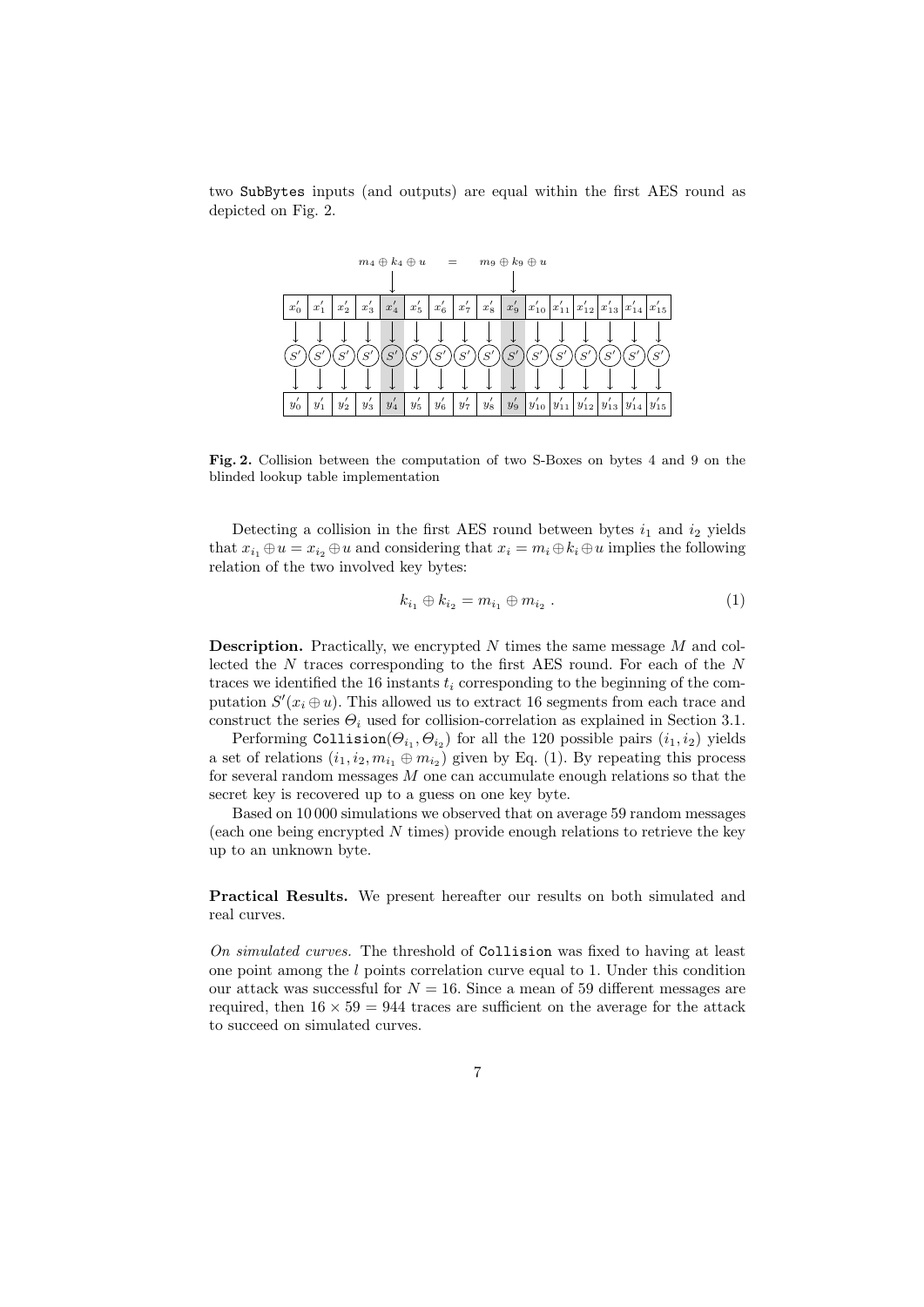two SubBytes inputs (and outputs) are equal within the first AES round as depicted on Fig. 2.



Fig. 2. Collision between the computation of two S-Boxes on bytes 4 and 9 on the blinded lookup table implementation

Detecting a collision in the first AES round between bytes  $i_1$  and  $i_2$  yields that  $x_i, \oplus u = x_i, \oplus u$  and considering that  $x_i = m_i \oplus k_i \oplus u$  implies the following relation of the two involved key bytes:

$$
k_{i_1} \oplus k_{i_2} = m_{i_1} \oplus m_{i_2} . \tag{1}
$$

Description. Practically, we encrypted N times the same message M and collected the  $N$  traces corresponding to the first AES round. For each of the  $N$ traces we identified the 16 instants  $t_i$  corresponding to the beginning of the computation  $S'(x_i \oplus u)$ . This allowed us to extract 16 segments from each trace and construct the series  $\Theta_i$  used for collision-correlation as explained in Section 3.1.

Performing Collision $(\Theta_{i_1}, \Theta_{i_2})$  for all the 120 possible pairs  $(i_1, i_2)$  yields a set of relations  $(i_1, i_2, m_{i_1} \oplus m_{i_2})$  given by Eq. (1). By repeating this process for several random messages M one can accumulate enough relations so that the secret key is recovered up to a guess on one key byte.

Based on 10 000 simulations we observed that on average 59 random messages (each one being encrypted  $N$  times) provide enough relations to retrieve the key up to an unknown byte.

Practical Results. We present hereafter our results on both simulated and real curves.

On simulated curves. The threshold of Collision was fixed to having at least one point among the l points correlation curve equal to 1. Under this condition our attack was successful for  $N = 16$ . Since a mean of 59 different messages are required, then  $16 \times 59 = 944$  traces are sufficient on the average for the attack to succeed on simulated curves.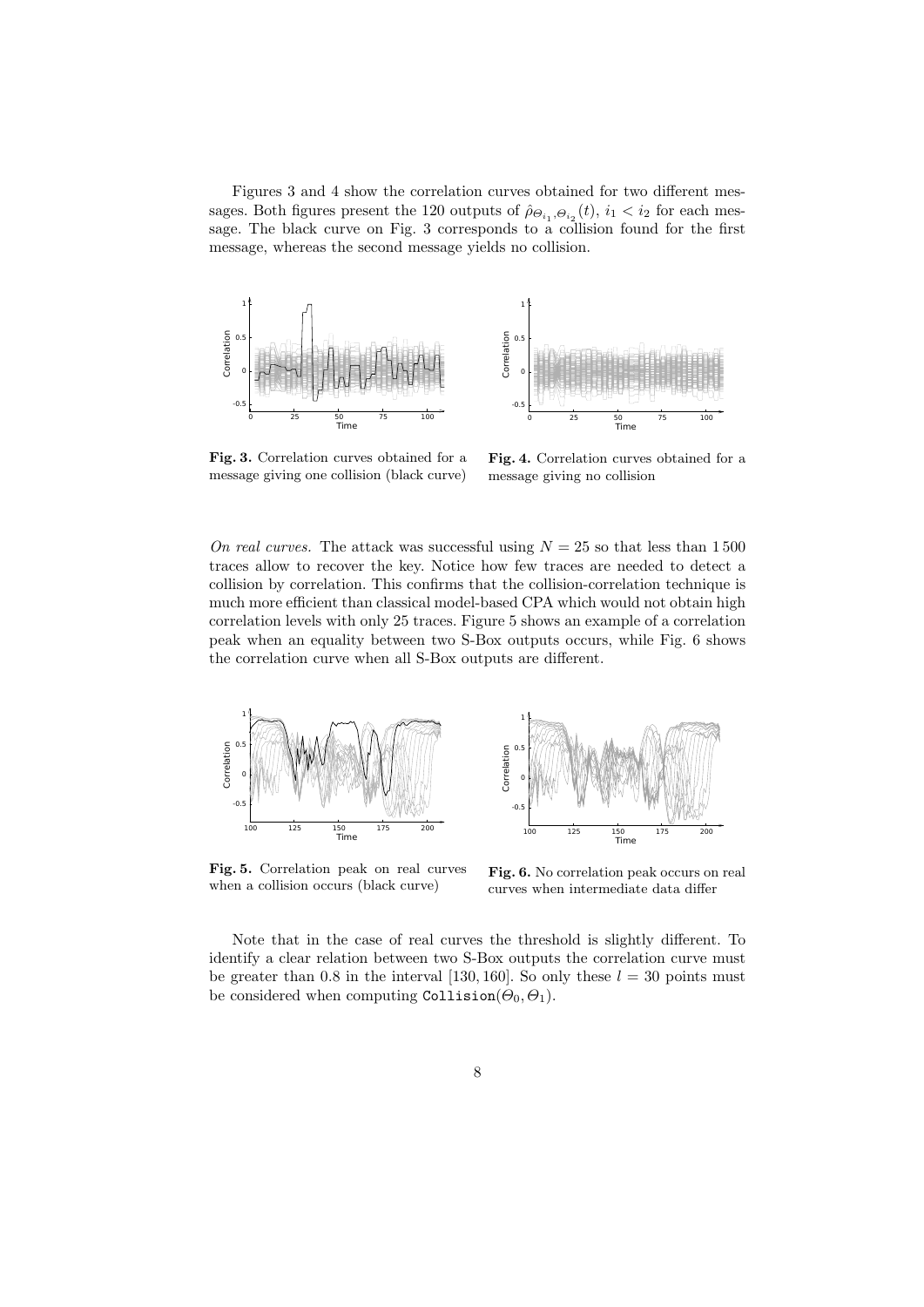Figures 3 and 4 show the correlation curves obtained for two different messages. Both figures present the 120 outputs of  $\hat{\rho}_{\Theta_{i_1},\Theta_{i_2}}(t), i_1 < i_2$  for each message. The black curve on Fig. 3 corresponds to a collision found for the first message, whereas the second message yields no collision.



Fig. 3. Correlation curves obtained for a message giving one collision (black curve)

![](_page_8_Figure_3.jpeg)

Fig. 4. Correlation curves obtained for a message giving no collision

On real curves. The attack was successful using  $N = 25$  so that less than 1500 traces allow to recover the key. Notice how few traces are needed to detect a collision by correlation. This confirms that the collision-correlation technique is much more efficient than classical model-based CPA which would not obtain high correlation levels with only 25 traces. Figure 5 shows an example of a correlation peak when an equality between two S-Box outputs occurs, while Fig. 6 shows the correlation curve when all S-Box outputs are different.

![](_page_8_Figure_6.jpeg)

Fig. 5. Correlation peak on real curves when a collision occurs (black curve)

![](_page_8_Figure_8.jpeg)

Fig. 6. No correlation peak occurs on real curves when intermediate data differ

Note that in the case of real curves the threshold is slightly different. To identify a clear relation between two S-Box outputs the correlation curve must be greater than 0.8 in the interval [130, 160]. So only these  $l = 30$  points must be considered when computing Collision $(\Theta_0, \Theta_1)$ .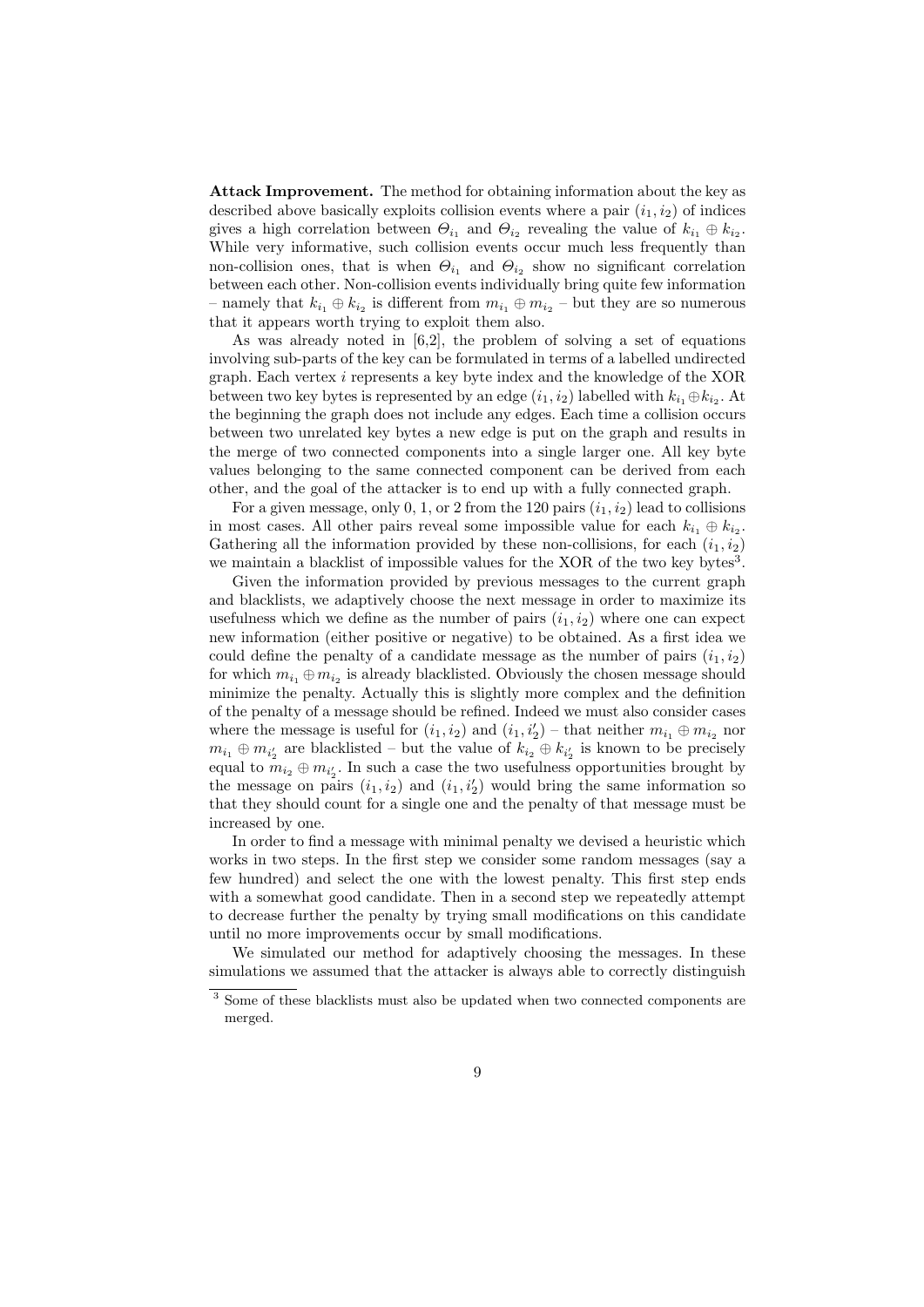**Attack Improvement.** The method for obtaining information about the key as described above basically exploits collision events where a pair  $(i_1, i_2)$  of indices gives a high correlation between  $\Theta_{i_1}$  and  $\Theta_{i_2}$  revealing the value of  $k_{i_1} \oplus k_{i_2}$ . While very informative, such collision events occur much less frequently than non-collision ones, that is when  $\Theta_{i_1}$  and  $\Theta_{i_2}$  show no significant correlation between each other. Non-collision events individually bring quite few information – namely that  $k_{i_1} \oplus k_{i_2}$  is different from  $m_{i_1} \oplus m_{i_2}$  – but they are so numerous that it appears worth trying to exploit them also.

As was already noted in [6,2], the problem of solving a set of equations involving sub-parts of the key can be formulated in terms of a labelled undirected graph. Each vertex i represents a key byte index and the knowledge of the XOR between two key bytes is represented by an edge  $(i_1, i_2)$  labelled with  $k_{i_1} \oplus k_{i_2}$ . At the beginning the graph does not include any edges. Each time a collision occurs between two unrelated key bytes a new edge is put on the graph and results in the merge of two connected components into a single larger one. All key byte values belonging to the same connected component can be derived from each other, and the goal of the attacker is to end up with a fully connected graph.

For a given message, only 0, 1, or 2 from the 120 pairs  $(i_1, i_2)$  lead to collisions in most cases. All other pairs reveal some impossible value for each  $k_{i_1} \oplus k_{i_2}$ . Gathering all the information provided by these non-collisions, for each  $(i_1, i_2)$ we maintain a blacklist of impossible values for the XOR of the two key bytes<sup>3</sup>.

Given the information provided by previous messages to the current graph and blacklists, we adaptively choose the next message in order to maximize its usefulness which we define as the number of pairs  $(i_1, i_2)$  where one can expect new information (either positive or negative) to be obtained. As a first idea we could define the penalty of a candidate message as the number of pairs  $(i_1, i_2)$ for which  $m_{i_1} \oplus m_{i_2}$  is already blacklisted. Obviously the chosen message should minimize the penalty. Actually this is slightly more complex and the definition of the penalty of a message should be refined. Indeed we must also consider cases where the message is useful for  $(i_1, i_2)$  and  $(i_1, i'_2)$  – that neither  $m_{i_1} \oplus m_{i_2}$  nor  $m_{i_1} \oplus m_{i'_2}$  are blacklisted – but the value of  $k_{i_2} \oplus k_{i'_2}$  is known to be precisely equal to  $m_{i_2} \oplus m_{i'_2}$ . In such a case the two usefulness opportunities brought by the message on pairs  $(i_1, i_2)$  and  $(i_1, i'_2)$  would bring the same information so that they should count for a single one and the penalty of that message must be increased by one.

In order to find a message with minimal penalty we devised a heuristic which works in two steps. In the first step we consider some random messages (say a few hundred) and select the one with the lowest penalty. This first step ends with a somewhat good candidate. Then in a second step we repeatedly attempt to decrease further the penalty by trying small modifications on this candidate until no more improvements occur by small modifications.

We simulated our method for adaptively choosing the messages. In these simulations we assumed that the attacker is always able to correctly distinguish

<sup>3</sup> Some of these blacklists must also be updated when two connected components are merged.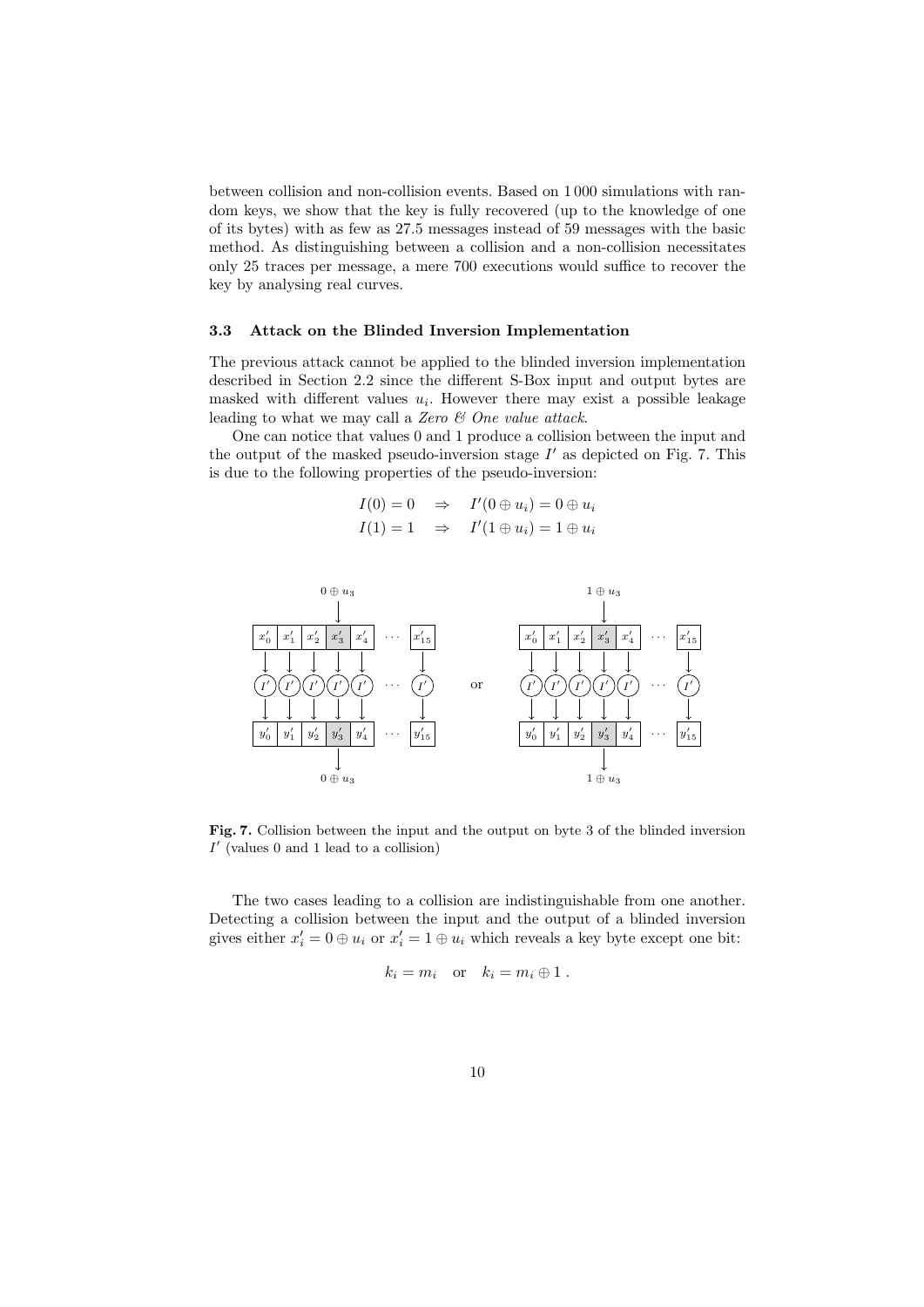between collision and non-collision events. Based on 1 000 simulations with random keys, we show that the key is fully recovered (up to the knowledge of one of its bytes) with as few as 27.5 messages instead of 59 messages with the basic method. As distinguishing between a collision and a non-collision necessitates only 25 traces per message, a mere 700 executions would suffice to recover the key by analysing real curves.

#### 3.3 Attack on the Blinded Inversion Implementation

The previous attack cannot be applied to the blinded inversion implementation described in Section 2.2 since the different S-Box input and output bytes are masked with different values  $u_i$ . However there may exist a possible leakage leading to what we may call a Zero & One value attack.

One can notice that values 0 and 1 produce a collision between the input and the output of the masked pseudo-inversion stage  $I'$  as depicted on Fig. 7. This is due to the following properties of the pseudo-inversion:

$$
I(0) = 0 \Rightarrow I'(0 \oplus u_i) = 0 \oplus u_i
$$
  

$$
I(1) = 1 \Rightarrow I'(1 \oplus u_i) = 1 \oplus u_i
$$

![](_page_10_Figure_5.jpeg)

Fig. 7. Collision between the input and the output on byte 3 of the blinded inversion  $I'$  (values 0 and 1 lead to a collision)

The two cases leading to a collision are indistinguishable from one another. Detecting a collision between the input and the output of a blinded inversion gives either  $x'_i = 0 \oplus u_i$  or  $x'_i = 1 \oplus u_i$  which reveals a key byte except one bit:

$$
k_i = m_i \quad \text{or} \quad k_i = m_i \oplus 1 \; .
$$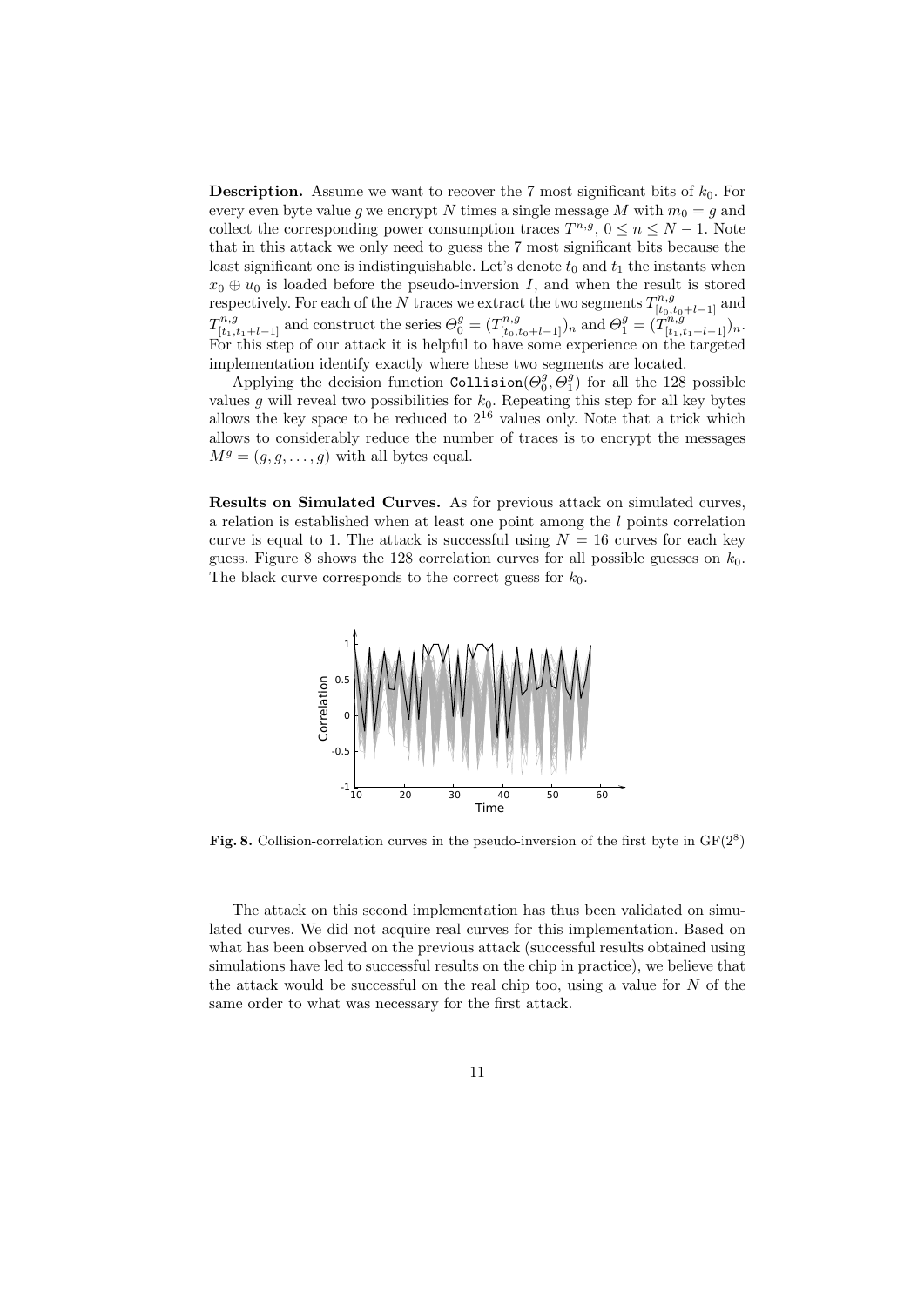**Description.** Assume we want to recover the 7 most significant bits of  $k_0$ . For every even byte value g we encrypt N times a single message M with  $m_0 = g$  and collect the corresponding power consumption traces  $T^{n,g}$ ,  $0 \le n \le N-1$ . Note that in this attack we only need to guess the 7 most significant bits because the least significant one is indistinguishable. Let's denote  $t_0$  and  $t_1$  the instants when  $x_0 \oplus u_0$  is loaded before the pseudo-inversion I, and when the result is stored respectively. For each of the N traces we extract the two segments  $T^{n,g}_{[t_0,t_0+l-1]}$  and  $T^{n,g}_{[t_1,t_1+l-1]}$  and construct the series  $\Theta^g_0 = (T^{n,g}_{[t_0,t_0+l-1]})_n$  and  $\Theta^g_1 = (T^{n,g}_{[t_1,t_1+l-1]})_n$ . For this step of our attack it is helpful to have some experience on the targeted implementation identify exactly where these two segments are located.

Applying the decision function  $\text{Collision}(\Theta_0^g, \Theta_1^g)$  for all the 128 possible values g will reveal two possibilities for  $k_0$ . Repeating this step for all key bytes allows the key space to be reduced to  $2^{16}$  values only. Note that a trick which allows to considerably reduce the number of traces is to encrypt the messages  $M^g = (g, g, \dots, g)$  with all bytes equal.

Results on Simulated Curves. As for previous attack on simulated curves, a relation is established when at least one point among the l points correlation curve is equal to 1. The attack is successful using  $N = 16$  curves for each key guess. Figure 8 shows the 128 correlation curves for all possible guesses on  $k_0$ . The black curve corresponds to the correct guess for  $k_0$ .

![](_page_11_Figure_3.jpeg)

Fig. 8. Collision-correlation curves in the pseudo-inversion of the first byte in  $GF(2^8)$ 

The attack on this second implementation has thus been validated on simulated curves. We did not acquire real curves for this implementation. Based on what has been observed on the previous attack (successful results obtained using simulations have led to successful results on the chip in practice), we believe that the attack would be successful on the real chip too, using a value for  $N$  of the same order to what was necessary for the first attack.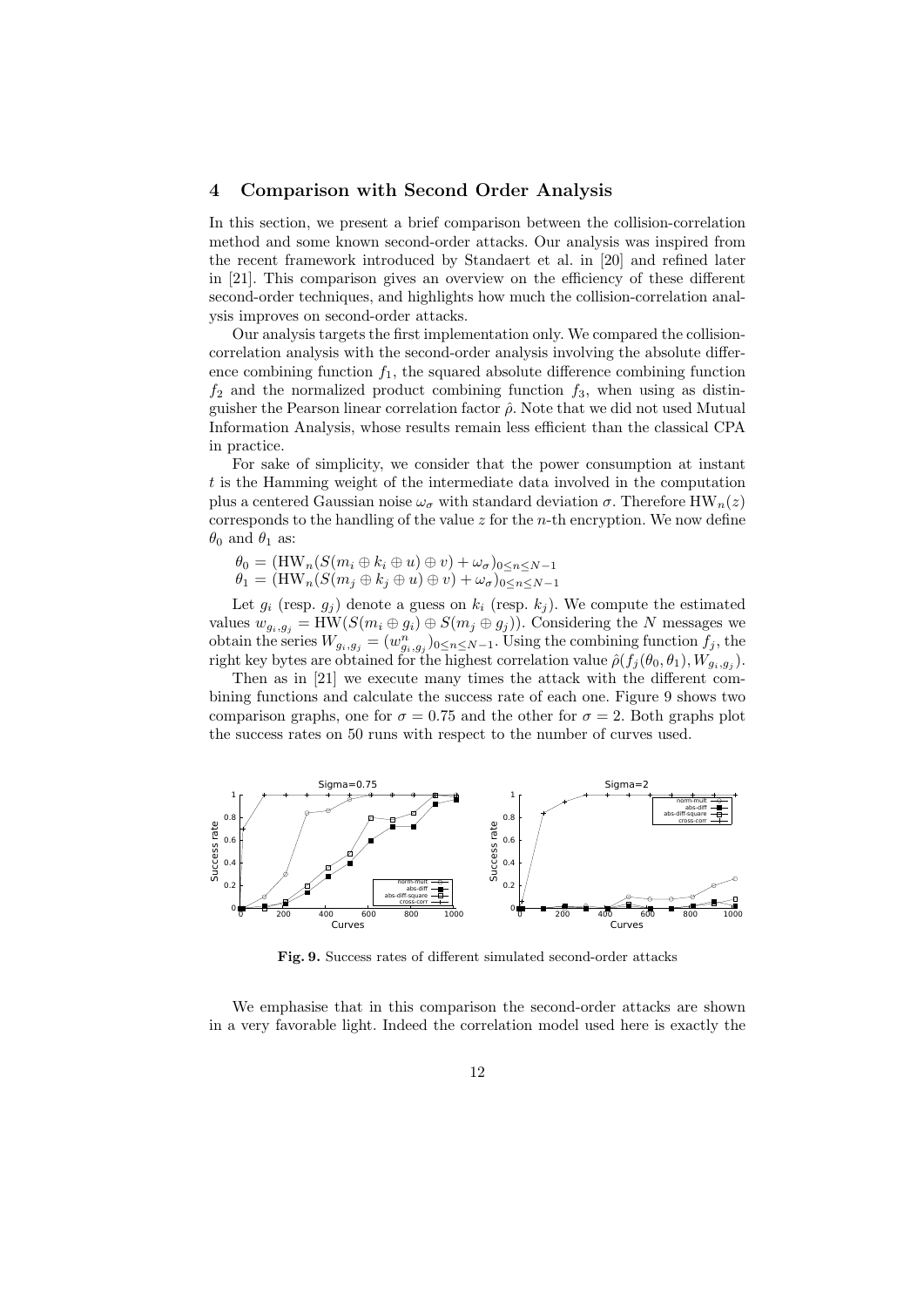### 4 Comparison with Second Order Analysis

In this section, we present a brief comparison between the collision-correlation method and some known second-order attacks. Our analysis was inspired from the recent framework introduced by Standaert et al. in [20] and refined later in [21]. This comparison gives an overview on the efficiency of these different second-order techniques, and highlights how much the collision-correlation analysis improves on second-order attacks.

Our analysis targets the first implementation only. We compared the collisioncorrelation analysis with the second-order analysis involving the absolute difference combining function  $f_1$ , the squared absolute difference combining function  $f_2$  and the normalized product combining function  $f_3$ , when using as distinguisher the Pearson linear correlation factor  $\hat{\rho}$ . Note that we did not used Mutual Information Analysis, whose results remain less efficient than the classical CPA in practice.

For sake of simplicity, we consider that the power consumption at instant t is the Hamming weight of the intermediate data involved in the computation plus a centered Gaussian noise  $\omega_{\sigma}$  with standard deviation  $\sigma$ . Therefore HW<sub>n</sub>(z) corresponds to the handling of the value  $z$  for the  $n$ -th encryption. We now define  $\theta_0$  and  $\theta_1$  as:

$$
\theta_0 = (HW_n(S(m_i \oplus k_i \oplus u) \oplus v) + \omega_{\sigma})_{0 \le n \le N-1}
$$
  

$$
\theta_1 = (HW_n(S(m_j \oplus k_j \oplus u) \oplus v) + \omega_{\sigma})_{0 \le n \le N-1}
$$

Let  $g_i$  (resp.  $g_j$ ) denote a guess on  $k_i$  (resp.  $k_j$ ). We compute the estimated values  $w_{g_i,g_j} = HW(S(m_i \oplus g_i) \oplus S(m_j \oplus g_j))$ . Considering the N messages we obtain the series  $W_{g_i,g_j} = (w_{g_i,g_j}^n)_{0 \leq n \leq N-1}$ . Using the combining function  $f_j$ , the right key bytes are obtained for the highest correlation value  $\hat{\rho}(f_j(\theta_0,\theta_1), W_{g_i,g_j}).$ 

Then as in [21] we execute many times the attack with the different combining functions and calculate the success rate of each one. Figure 9 shows two comparison graphs, one for  $\sigma = 0.75$  and the other for  $\sigma = 2$ . Both graphs plot the success rates on 50 runs with respect to the number of curves used.

![](_page_12_Figure_7.jpeg)

Fig. 9. Success rates of different simulated second-order attacks

We emphasise that in this comparison the second-order attacks are shown in a very favorable light. Indeed the correlation model used here is exactly the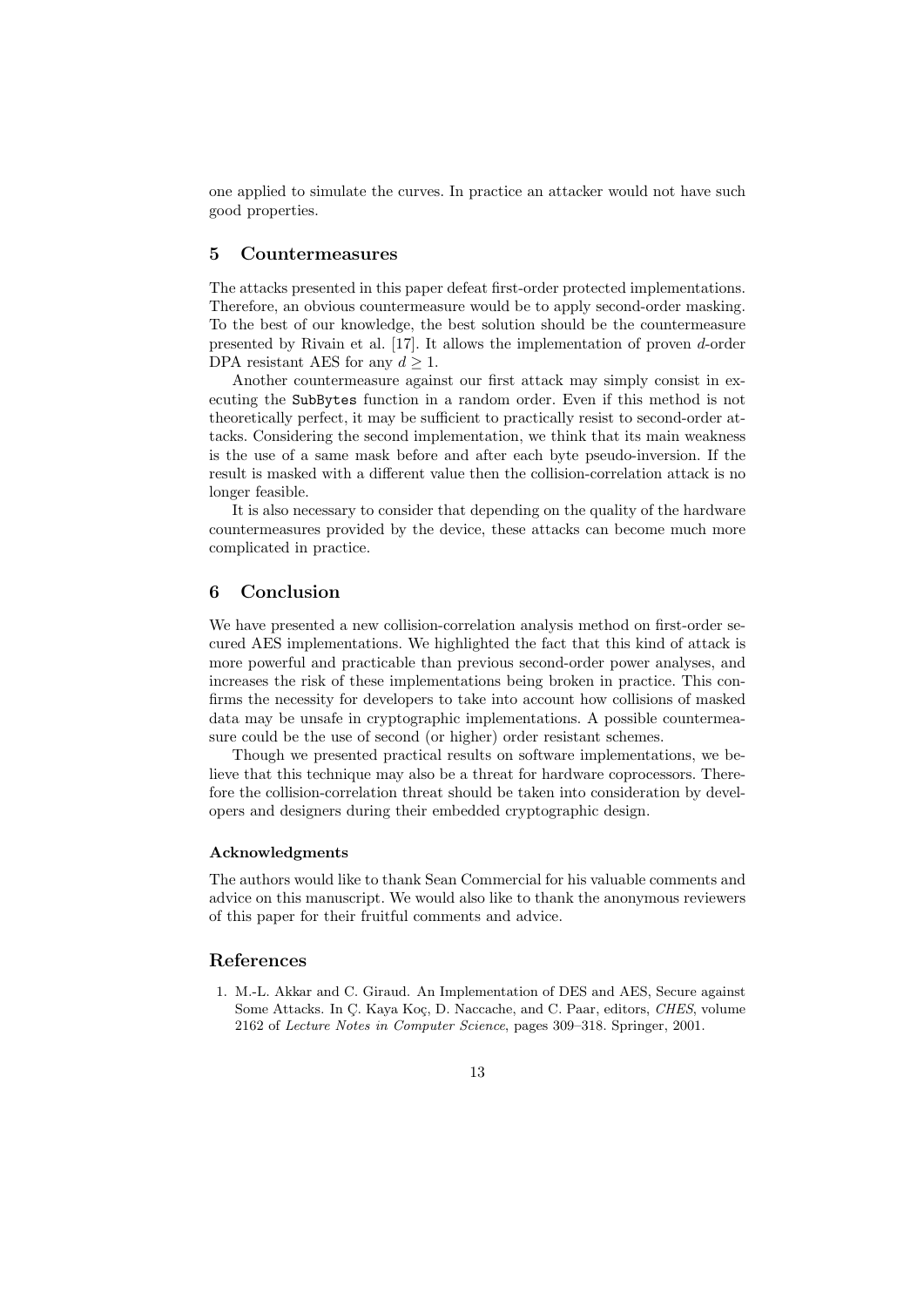one applied to simulate the curves. In practice an attacker would not have such good properties.

### 5 Countermeasures

The attacks presented in this paper defeat first-order protected implementations. Therefore, an obvious countermeasure would be to apply second-order masking. To the best of our knowledge, the best solution should be the countermeasure presented by Rivain et al. [17]. It allows the implementation of proven d-order DPA resistant AES for any  $d > 1$ .

Another countermeasure against our first attack may simply consist in executing the SubBytes function in a random order. Even if this method is not theoretically perfect, it may be sufficient to practically resist to second-order attacks. Considering the second implementation, we think that its main weakness is the use of a same mask before and after each byte pseudo-inversion. If the result is masked with a different value then the collision-correlation attack is no longer feasible.

It is also necessary to consider that depending on the quality of the hardware countermeasures provided by the device, these attacks can become much more complicated in practice.

## 6 Conclusion

We have presented a new collision-correlation analysis method on first-order secured AES implementations. We highlighted the fact that this kind of attack is more powerful and practicable than previous second-order power analyses, and increases the risk of these implementations being broken in practice. This confirms the necessity for developers to take into account how collisions of masked data may be unsafe in cryptographic implementations. A possible countermeasure could be the use of second (or higher) order resistant schemes.

Though we presented practical results on software implementations, we believe that this technique may also be a threat for hardware coprocessors. Therefore the collision-correlation threat should be taken into consideration by developers and designers during their embedded cryptographic design.

#### Acknowledgments

The authors would like to thank Sean Commercial for his valuable comments and advice on this manuscript. We would also like to thank the anonymous reviewers of this paper for their fruitful comments and advice.

# References

1. M.-L. Akkar and C. Giraud. An Implementation of DES and AES, Secure against Some Attacks. In C. Kaya Koç, D. Naccache, and C. Paar, editors, CHES, volume 2162 of Lecture Notes in Computer Science, pages 309–318. Springer, 2001.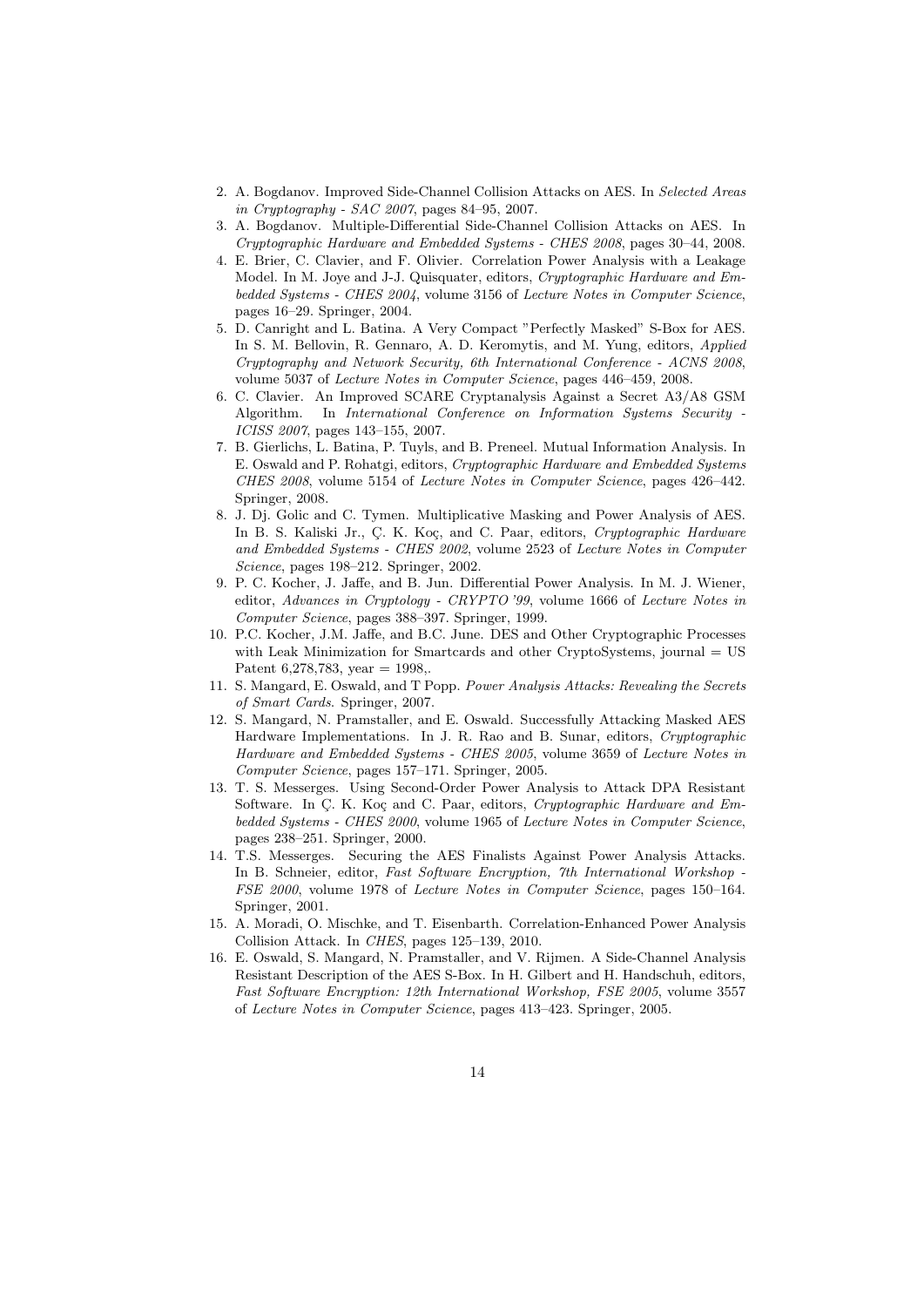- 2. A. Bogdanov. Improved Side-Channel Collision Attacks on AES. In Selected Areas in Cryptography - SAC 2007, pages 84–95, 2007.
- 3. A. Bogdanov. Multiple-Differential Side-Channel Collision Attacks on AES. In Cryptographic Hardware and Embedded Systems - CHES 2008, pages 30–44, 2008.
- 4. E. Brier, C. Clavier, and F. Olivier. Correlation Power Analysis with a Leakage Model. In M. Joye and J-J. Quisquater, editors, Cryptographic Hardware and Embedded Systems - CHES 2004, volume 3156 of Lecture Notes in Computer Science, pages 16–29. Springer, 2004.
- 5. D. Canright and L. Batina. A Very Compact "Perfectly Masked" S-Box for AES. In S. M. Bellovin, R. Gennaro, A. D. Keromytis, and M. Yung, editors, Applied Cryptography and Network Security, 6th International Conference - ACNS 2008, volume 5037 of Lecture Notes in Computer Science, pages 446–459, 2008.
- 6. C. Clavier. An Improved SCARE Cryptanalysis Against a Secret A3/A8 GSM Algorithm. In International Conference on Information Systems Security - ICISS 2007, pages 143–155, 2007.
- 7. B. Gierlichs, L. Batina, P. Tuyls, and B. Preneel. Mutual Information Analysis. In E. Oswald and P. Rohatgi, editors, Cryptographic Hardware and Embedded Systems CHES 2008, volume 5154 of Lecture Notes in Computer Science, pages 426–442. Springer, 2008.
- 8. J. Dj. Golic and C. Tymen. Multiplicative Masking and Power Analysis of AES. In B. S. Kaliski Jr., Ç. K. Koç, and C. Paar, editors, Cryptographic Hardware and Embedded Systems - CHES 2002, volume 2523 of Lecture Notes in Computer Science, pages 198–212. Springer, 2002.
- 9. P. C. Kocher, J. Jaffe, and B. Jun. Differential Power Analysis. In M. J. Wiener, editor, Advances in Cryptology - CRYPTO '99, volume 1666 of Lecture Notes in Computer Science, pages 388–397. Springer, 1999.
- 10. P.C. Kocher, J.M. Jaffe, and B.C. June. DES and Other Cryptographic Processes with Leak Minimization for Smartcards and other CryptoSystems, journal = US Patent 6,278,783, year = 1998,.
- 11. S. Mangard, E. Oswald, and T Popp. Power Analysis Attacks: Revealing the Secrets of Smart Cards. Springer, 2007.
- 12. S. Mangard, N. Pramstaller, and E. Oswald. Successfully Attacking Masked AES Hardware Implementations. In J. R. Rao and B. Sunar, editors, Cryptographic Hardware and Embedded Systems - CHES 2005, volume 3659 of Lecture Notes in Computer Science, pages 157–171. Springer, 2005.
- 13. T. S. Messerges. Using Second-Order Power Analysis to Attack DPA Resistant Software. In C. K. Koç and C. Paar, editors, Cryptographic Hardware and Embedded Systems - CHES 2000, volume 1965 of Lecture Notes in Computer Science, pages 238–251. Springer, 2000.
- 14. T.S. Messerges. Securing the AES Finalists Against Power Analysis Attacks. In B. Schneier, editor, Fast Software Encryption, 7th International Workshop - FSE 2000, volume 1978 of Lecture Notes in Computer Science, pages 150–164. Springer, 2001.
- 15. A. Moradi, O. Mischke, and T. Eisenbarth. Correlation-Enhanced Power Analysis Collision Attack. In CHES, pages 125–139, 2010.
- 16. E. Oswald, S. Mangard, N. Pramstaller, and V. Rijmen. A Side-Channel Analysis Resistant Description of the AES S-Box. In H. Gilbert and H. Handschuh, editors, Fast Software Encryption: 12th International Workshop, FSE 2005, volume 3557 of Lecture Notes in Computer Science, pages 413–423. Springer, 2005.